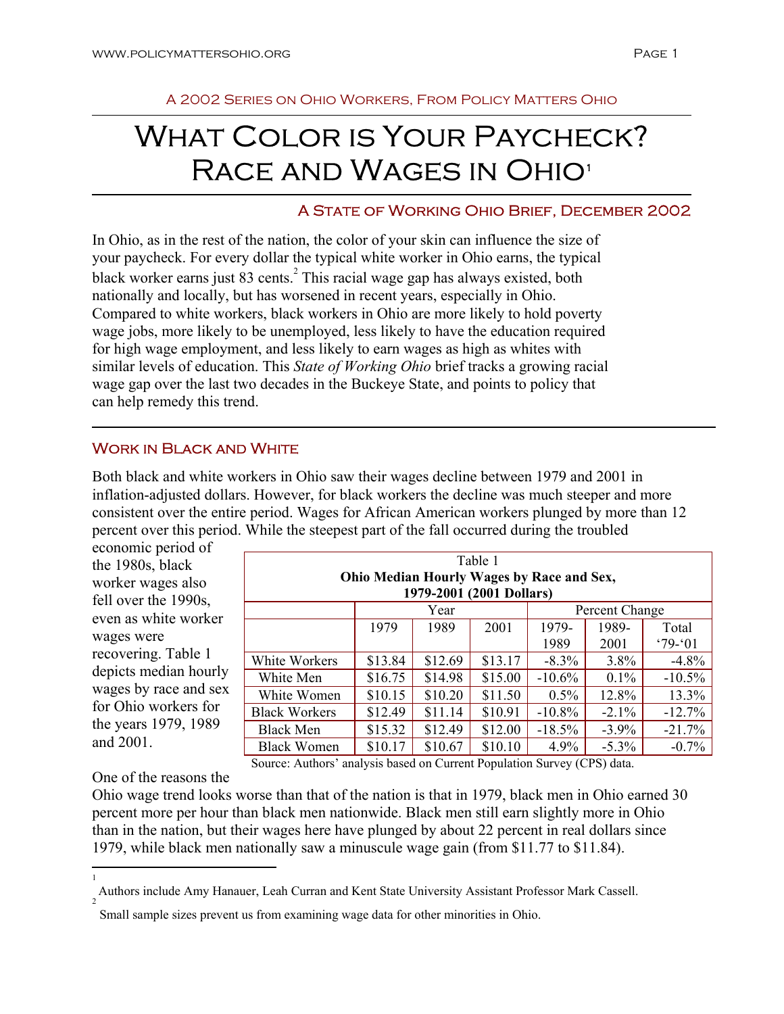# WHAT COLOR IS YOUR PAYCHECK? RACE AND WAGES IN OHIO<sup>1</sup>

## A State of Working Ohio Brief, December 2002

In Ohio, as in the rest of the nation, the color of your skin can influence the size of your paycheck. For every dollar the typical white worker in Ohio earns, the typical black worker earns just 83 cents. $^{2}$  This racial wage gap has always existed, both nationally and locally, but has worsened in recent years, especially in Ohio. Compared to white workers, black workers in Ohio are more likely to hold poverty wage jobs, more likely to be unemployed, less likely to have the education required for high wage employment, and less likely to earn wages as high as whites with similar levels of education. This *State of Working Ohio* brief tracks a growing racial wage gap over the last two decades in the Buckeye State, and points to policy that can help remedy this trend.

## Work in Black and White

Both black and white workers in Ohio saw their wages decline between 1979 and 2001 in inflation-adjusted dollars. However, for black workers the decline was much steeper and more consistent over the entire period. Wages for African American workers plunged by more than 12 percent over this period. While the steepest part of the fall occurred during the troubled

economic period of the 1980s, black worker wages also fell over the 1990s, even as white worker wages were recovering. Table 1 depicts median hourly wages by race and sex for Ohio workers for the years 1979, 1989 and 2001.

| Table 1                                   |         |         |         |                |          |            |
|-------------------------------------------|---------|---------|---------|----------------|----------|------------|
| Ohio Median Hourly Wages by Race and Sex, |         |         |         |                |          |            |
| 1979-2001 (2001 Dollars)                  |         |         |         |                |          |            |
|                                           | Year    |         |         | Percent Change |          |            |
|                                           | 1979    | 1989    | 2001    | 1979-          | 1989-    | Total      |
|                                           |         |         |         | 1989           | 2001     | $'79 - 01$ |
| White Workers                             | \$13.84 | \$12.69 | \$13.17 | $-8.3\%$       | $3.8\%$  | $-4.8%$    |
| White Men                                 | \$16.75 | \$14.98 | \$15.00 | $-10.6\%$      | $0.1\%$  | $-10.5%$   |
| White Women                               | \$10.15 | \$10.20 | \$11.50 | $0.5\%$        | 12.8%    | 13.3%      |
| <b>Black Workers</b>                      | \$12.49 | \$11.14 | \$10.91 | $-10.8\%$      | $-2.1\%$ | $-12.7%$   |
| <b>Black Men</b>                          | \$15.32 | \$12.49 | \$12.00 | $-18.5%$       | $-3.9\%$ | $-21.7%$   |
| <b>Black Women</b>                        | \$10.17 | \$10.67 | \$10.10 | 4.9%           | $-5.3\%$ | $-0.7%$    |

Source: Authors' analysis based on Current Population Survey (CPS) data.

One of the reasons the

 $\overline{a}$ 1

Ohio wage trend looks worse than that of the nation is that in 1979, black men in Ohio earned 30 percent more per hour than black men nationwide. Black men still earn slightly more in Ohio than in the nation, but their wages here have plunged by about 22 percent in real dollars since 1979, while black men nationally saw a minuscule wage gain (from \$11.77 to \$11.84).

Authors include Amy Hanauer, Leah Curran and Kent State University Assistant Professor Mark Cassell. 2

Small sample sizes prevent us from examining wage data for other minorities in Ohio.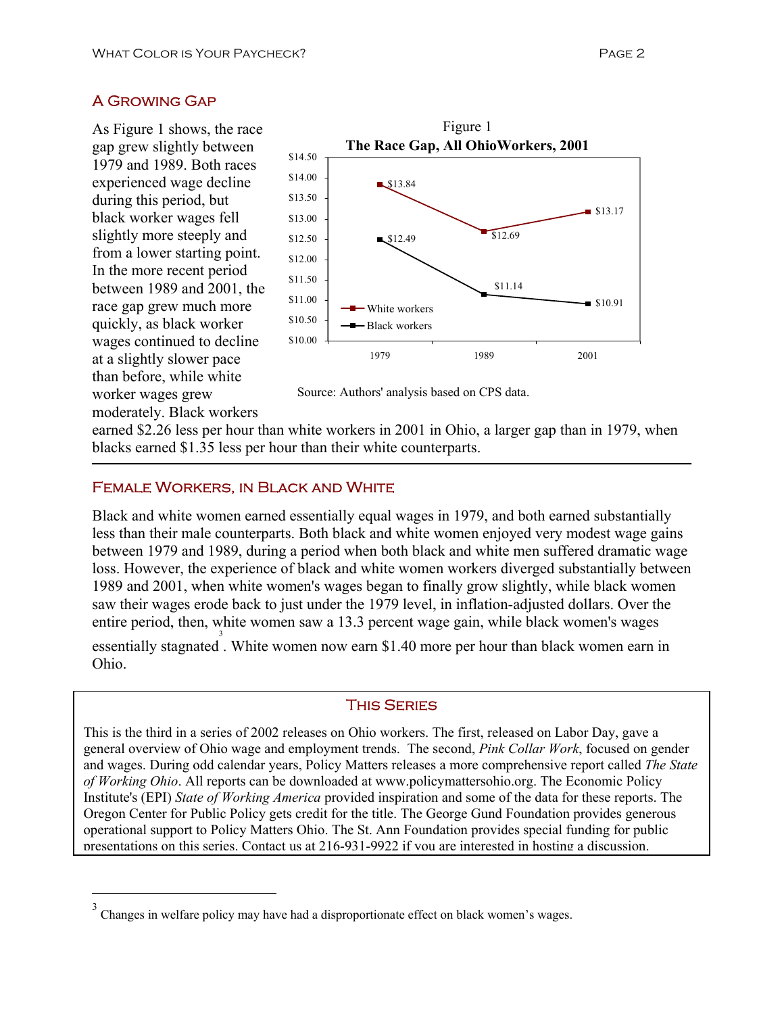# A Growing Gap

As Figure 1 shows, the race gap grew slightly between 1979 and 1989. Both races experienced wage decline during this period, but black worker wages fell slightly more steeply and from a lower starting point. In the more recent period between 1989 and 2001, the race gap grew much more quickly, as black worker wages continued to decline at a slightly slower pace than before, while white worker wages grew moderately. Black workers

 $\overline{a}$ 



Source: Authors' analysis based on CPS data.

earned \$2.26 less per hour than white workers in 2001 in Ohio, a larger gap than in 1979, when blacks earned \$1.35 less per hour than their white counterparts.

## Female Workers, in Black and White

Black and white women earned essentially equal wages in 1979, and both earned substantially less than their male counterparts. Both black and white women enjoyed very modest wage gains between 1979 and 1989, during a period when both black and white men suffered dramatic wage loss. However, the experience of black and white women workers diverged substantially between 1989 and 2001, when white women's wages began to finally grow slightly, while black women saw their wages erode back to just under the 1979 level, in inflation-adjusted dollars. Over the entire period, then, white women saw a 13.3 percent wage gain, while black women's wages essentially stagnated. White women now earn \$1.40 more per hour than black women earn in Ohio.

## This Series

This is the third in a series of 2002 releases on Ohio workers. The first, released on Labor Day, gave a general overview of Ohio wage and employment trends. The second, *Pink Collar Work*, focused on gender and wages. During odd calendar years, Policy Matters releases a more comprehensive report called *The State of Working Ohio*. All reports can be downloaded at www.policymattersohio.org. The Economic Policy Institute's (EPI) *State of Working America* provided inspiration and some of the data for these reports. The Oregon Center for Public Policy gets credit for the title. The George Gund Foundation provides generous operational support to Policy Matters Ohio. The St. Ann Foundation provides special funding for public presentations on this series. Contact us at 216-931-9922 if you are interested in hosting a discussion.

<sup>3</sup> Changes in welfare policy may have had a disproportionate effect on black women's wages.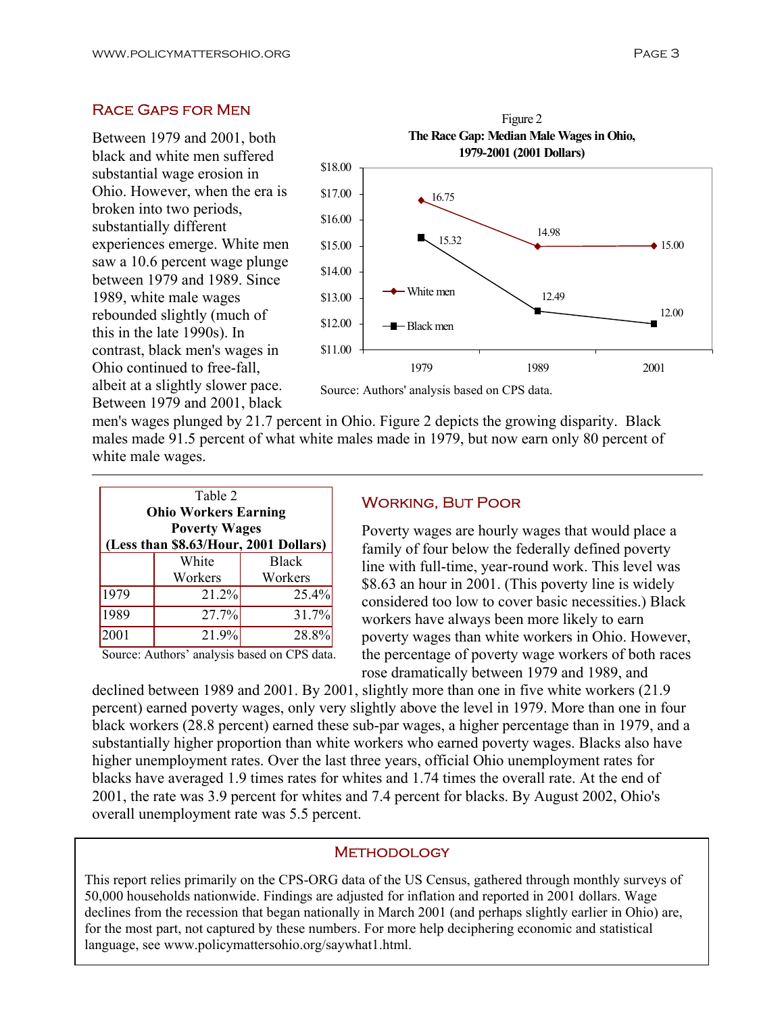## Race Gaps for Men

Between 1979 and 2001, both black and white men suffered substantial wage erosion in Ohio. However, when the era is broken into two periods, substantially different experiences emerge. White men saw a 10.6 percent wage plunge between 1979 and 1989. Since 1989, white male wages rebounded slightly (much of this in the late 1990s). In contrast, black men's wages in Ohio continued to free-fall, albeit at a slightly slower pace. Between 1979 and 2001, black



Source: Authors' analysis based on CPS data.

men's wages plunged by 21.7 percent in Ohio. Figure 2 depicts the growing disparity. Black males made 91.5 percent of what white males made in 1979, but now earn only 80 percent of white male wages.

| Table 2<br><b>Ohio Workers Earning</b><br><b>Poverty Wages</b><br>(Less than \$8.63/Hour, 2001 Dollars) |         |              |  |  |  |
|---------------------------------------------------------------------------------------------------------|---------|--------------|--|--|--|
|                                                                                                         | White   | <b>Black</b> |  |  |  |
|                                                                                                         | Workers | Workers      |  |  |  |
| 1979                                                                                                    | 21.2%   | 25.4%        |  |  |  |
| 1989                                                                                                    | 27.7%   | 31.7%        |  |  |  |
| 2001                                                                                                    | 21.9%   | 28.8%        |  |  |  |

Source: Authors' analysis based on CPS data.

#### Working, But Poor

Poverty wages are hourly wages that would place a family of four below the federally defined poverty line with full-time, year-round work. This level was \$8.63 an hour in 2001. (This poverty line is widely considered too low to cover basic necessities.) Black workers have always been more likely to earn poverty wages than white workers in Ohio. However, the percentage of poverty wage workers of both races rose dramatically between 1979 and 1989, and

declined between 1989 and 2001. By 2001, slightly more than one in five white workers (21.9 percent) earned poverty wages, only very slightly above the level in 1979. More than one in four black workers (28.8 percent) earned these sub-par wages, a higher percentage than in 1979, and a substantially higher proportion than white workers who earned poverty wages. Blacks also have higher unemployment rates. Over the last three years, official Ohio unemployment rates for blacks have averaged 1.9 times rates for whites and 1.74 times the overall rate. At the end of 2001, the rate was 3.9 percent for whites and 7.4 percent for blacks. By August 2002, Ohio's overall unemployment rate was 5.5 percent.

#### **METHODOLOGY**

This report relies primarily on the CPS-ORG data of the US Census, gathered through monthly surveys of 50,000 households nationwide. Findings are adjusted for inflation and reported in 2001 dollars. Wage declines from the recession that began nationally in March 2001 (and perhaps slightly earlier in Ohio) are, for the most part, not captured by these numbers. For more help deciphering economic and statistical language, see www.policymattersohio.org/saywhat1.html.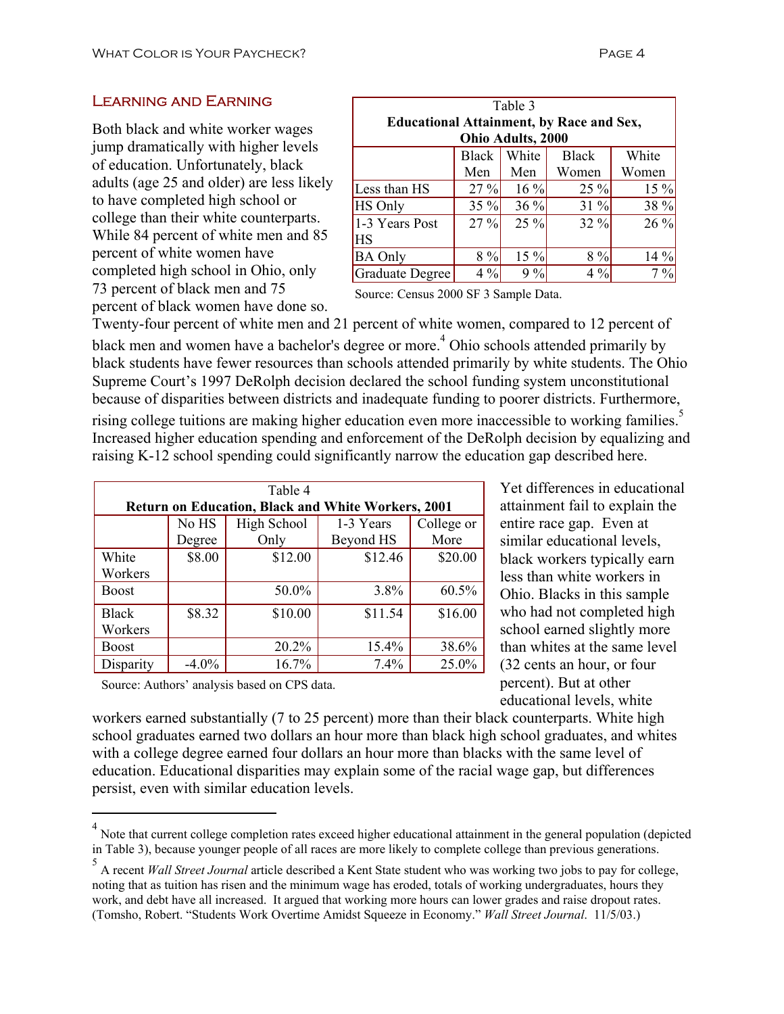## Learning and Earning

Both black and white worker wages jump dramatically with higher levels of education. Unfortunately, black adults (age 25 and older) are less likely to have completed high school or college than their white counterparts. While 84 percent of white men and 85 percent of white women have completed high school in Ohio, only 73 percent of black men and 75 percent of black women have done so.

| Table 3                                         |         |        |              |       |  |  |
|-------------------------------------------------|---------|--------|--------------|-------|--|--|
| <b>Educational Attainment, by Race and Sex,</b> |         |        |              |       |  |  |
| Ohio Adults, 2000                               |         |        |              |       |  |  |
|                                                 | Black   | White  | <b>Black</b> | White |  |  |
|                                                 | Men     | Men    | Women        | Women |  |  |
| Less than HS                                    | $27 \%$ | $16\%$ | $25 \%$      | 15 %  |  |  |
| <b>HS Only</b>                                  | 35 %    | 36 %   | 31 %         | 38 %  |  |  |
| 1-3 Years Post                                  | 27%     | 25 %   | 32 %         | 26 %  |  |  |
| <b>HS</b>                                       |         |        |              |       |  |  |
| <b>BA Only</b>                                  | 8%      | 15%    | $8\%$        | 14 %  |  |  |
| Graduate Degree                                 | $4\%$   | 9%     | $4\%$        | $7\%$ |  |  |

Source: Census 2000 SF 3 Sample Data.

Twenty-four percent of white men and 21 percent of white women, compared to 12 percent of black men and women have a bachelor's degree or more.<sup>4</sup> Ohio schools attended primarily by black students have fewer resources than schools attended primarily by white students. The Ohio Supreme Court's 1997 DeRolph decision declared the school funding system unconstitutional because of disparities between districts and inadequate funding to poorer districts. Furthermore,

rising college tuitions are making higher education even more inaccessible to working families.<sup>5</sup> Increased higher education spending and enforcement of the DeRolph decision by equalizing and raising K-12 school spending could significantly narrow the education gap described here.

| Table 4                                                   |          |             |           |            |  |
|-----------------------------------------------------------|----------|-------------|-----------|------------|--|
| <b>Return on Education, Black and White Workers, 2001</b> |          |             |           |            |  |
|                                                           | No HS    | High School | 1-3 Years | College or |  |
|                                                           | Degree   | Only        | Beyond HS | More       |  |
| White                                                     | \$8.00   | \$12.00     | \$12.46   | \$20.00    |  |
| Workers                                                   |          |             |           |            |  |
| <b>Boost</b>                                              |          | 50.0%       | 3.8%      | 60.5%      |  |
| <b>Black</b>                                              | \$8.32   | \$10.00     | \$11.54   | \$16.00    |  |
| Workers                                                   |          |             |           |            |  |
| <b>Boost</b>                                              |          | 20.2%       | 15.4%     | 38.6%      |  |
| Disparity                                                 | $-4.0\%$ | 16.7%       | 7.4%      | 25.0%      |  |

Yet differences in educational attainment fail to explain the entire race gap. Even at similar educational levels, black workers typically earn less than white workers in Ohio. Blacks in this sample who had not completed high school earned slightly more than whites at the same level (32 cents an hour, or four percent). But at other educational levels, white

Source: Authors' analysis based on CPS data.

 $\overline{a}$ 

workers earned substantially (7 to 25 percent) more than their black counterparts. White high school graduates earned two dollars an hour more than black high school graduates, and whites with a college degree earned four dollars an hour more than blacks with the same level of education. Educational disparities may explain some of the racial wage gap, but differences persist, even with similar education levels.

<sup>&</sup>lt;sup>4</sup> Note that current college completion rates exceed higher educational attainment in the general population (depicted in Table 3), because younger people of all races are more likely to complete college than previous generations.

<sup>5</sup> A recent *Wall Street Journal* article described a Kent State student who was working two jobs to pay for college, noting that as tuition has risen and the minimum wage has eroded, totals of working undergraduates, hours they work, and debt have all increased. It argued that working more hours can lower grades and raise dropout rates. (Tomsho, Robert. "Students Work Overtime Amidst Squeeze in Economy." *Wall Street Journal*. 11/5/03.)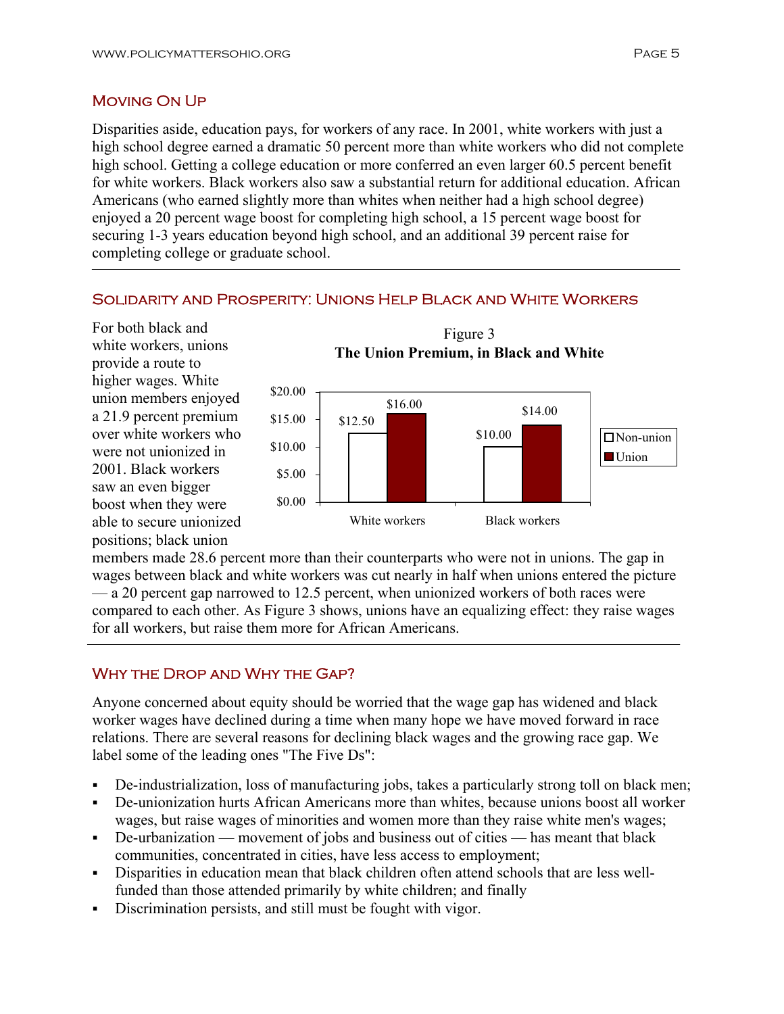# Moving On Up

Disparities aside, education pays, for workers of any race. In 2001, white workers with just a high school degree earned a dramatic 50 percent more than white workers who did not complete high school. Getting a college education or more conferred an even larger 60.5 percent benefit for white workers. Black workers also saw a substantial return for additional education. African Americans (who earned slightly more than whites when neither had a high school degree) enjoyed a 20 percent wage boost for completing high school, a 15 percent wage boost for securing 1-3 years education beyond high school, and an additional 39 percent raise for completing college or graduate school.

# Solidarity and Prosperity: Unions Help Black and White Workers

For both black and white workers, unions provide a route to higher wages. White union members enjoyed a 21.9 percent premium over white workers who were not unionized in 2001. Black workers saw an even bigger boost when they were able to secure unionized positions; black union

j



members made 28.6 percent more than their counterparts who were not in unions. The gap in wages between black and white workers was cut nearly in half when unions entered the picture — a 20 percent gap narrowed to 12.5 percent, when unionized workers of both races were compared to each other. As Figure 3 shows, unions have an equalizing effect: they raise wages for all workers, but raise them more for African Americans.

# Why the Drop and Why the Gap?

Anyone concerned about equity should be worried that the wage gap has widened and black worker wages have declined during a time when many hope we have moved forward in race relations. There are several reasons for declining black wages and the growing race gap. We label some of the leading ones "The Five Ds":

- De-industrialization, loss of manufacturing jobs, takes a particularly strong toll on black men;
- De-unionization hurts African Americans more than whites, because unions boost all worker wages, but raise wages of minorities and women more than they raise white men's wages;
- De-urbanization movement of jobs and business out of cities has meant that black communities, concentrated in cities, have less access to employment;
- Disparities in education mean that black children often attend schools that are less wellfunded than those attended primarily by white children; and finally
- Discrimination persists, and still must be fought with vigor.